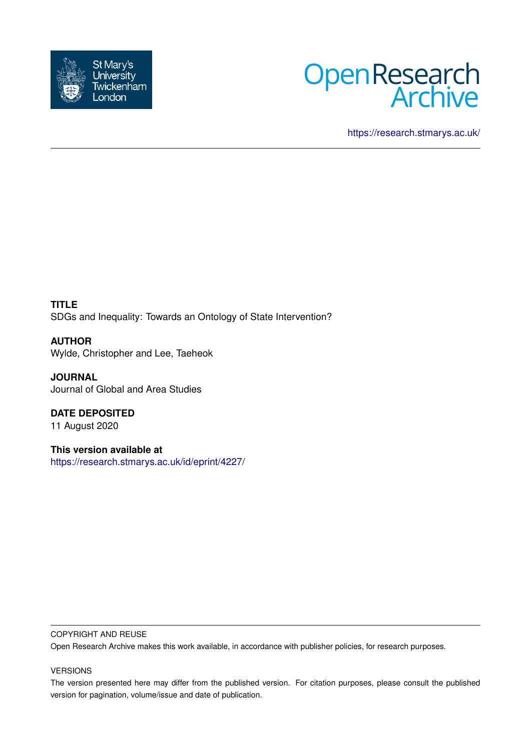



<https://research.stmarys.ac.uk/>

**TITLE** SDGs and Inequality: Towards an Ontology of State Intervention?

**AUTHOR** Wylde, Christopher and Lee, Taeheok

**JOURNAL** Journal of Global and Area Studies

**DATE DEPOSITED** 11 August 2020

**This version available at** <https://research.stmarys.ac.uk/id/eprint/4227/>

# COPYRIGHT AND REUSE

Open Research Archive makes this work available, in accordance with publisher policies, for research purposes.

# VERSIONS

The version presented here may differ from the published version. For citation purposes, please consult the published version for pagination, volume/issue and date of publication.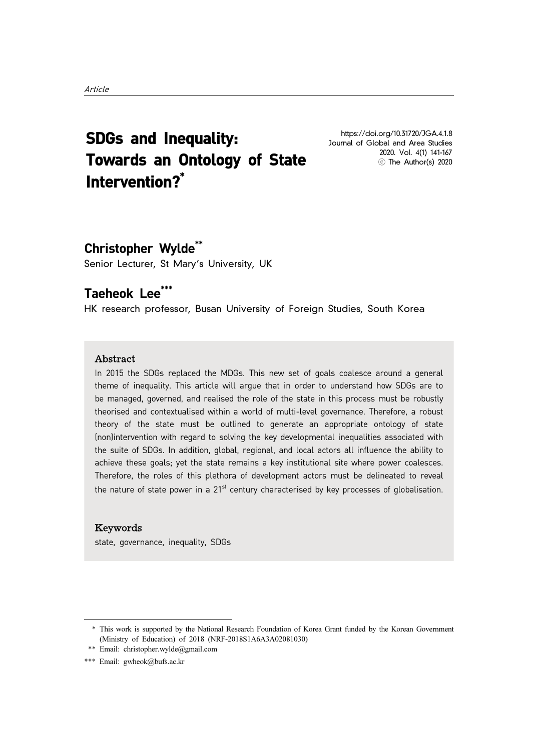# SDGs and Inequality: Towards an Ontology of State Intervention?\*

https://doi.org/10.31720/JGA.4.1.8 Journal of Global and Area Studies 2020. Vol. 4(1) 141-167 ⓒ The Author(s) 2020

# Christopher Wylde\*\*

Senior Lecturer, St Mary's University, UK

# Taeheok Lee\*\*\*

HK research professor, Busan University of Foreign Studies, South Korea

#### Abstract

In 2015 the SDGs replaced the MDGs. This new set of goals coalesce around a general theme of inequality. This article will argue that in order to understand how SDGs are to be managed, governed, and realised the role of the state in this process must be robustly theorised and contextualised within a world of multi-level governance. Therefore, a robust theory of the state must be outlined to generate an appropriate ontology of state (non)intervention with regard to solving the key developmental inequalities associated with the suite of SDGs. In addition, global, regional, and local actors all influence the ability to achieve these goals; yet the state remains a key institutional site where power coalesces. Therefore, the roles of this plethora of development actors must be delineated to reveal the nature of state power in a  $21<sup>st</sup>$  century characterised by key processes of globalisation.

#### Keywords

state, governance, inequality, SDGs

<sup>\*</sup> This work is supported by the National Research Foundation of Korea Grant funded by the Korean Government (Ministry of Education) of 2018 (NRF-2018S1A6A3A02081030)

<sup>\*\*</sup> Email: christopher.wylde@gmail.com

<sup>\*\*\*</sup> Email: gwheok@bufs.ac.kr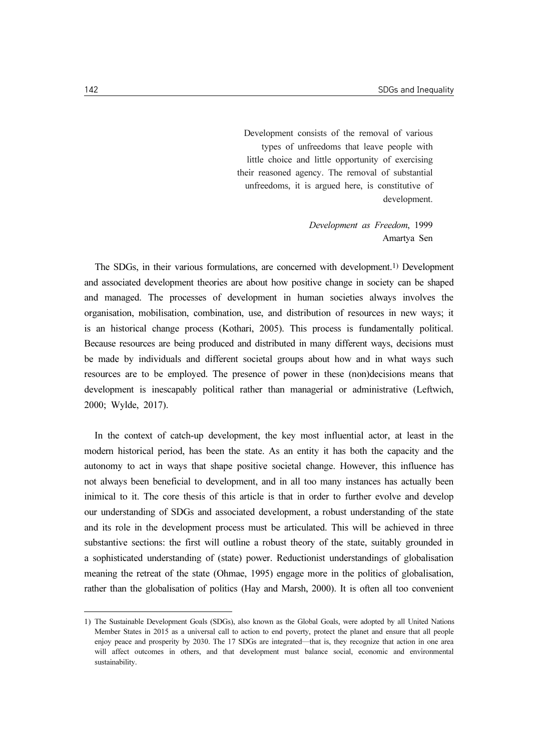Development consists of the removal of various types of unfreedoms that leave people with little choice and little opportunity of exercising their reasoned agency. The removal of substantial unfreedoms, it is argued here, is constitutive of development.

> Development as Freedom, 1999 Amartya Sen

The SDGs, in their various formulations, are concerned with development.1) Development and associated development theories are about how positive change in society can be shaped and managed. The processes of development in human societies always involves the organisation, mobilisation, combination, use, and distribution of resources in new ways; it is an historical change process (Kothari, 2005). This process is fundamentally political. Because resources are being produced and distributed in many different ways, decisions must be made by individuals and different societal groups about how and in what ways such resources are to be employed. The presence of power in these (non)decisions means that development is inescapably political rather than managerial or administrative (Leftwich, 2000; Wylde, 2017).

In the context of catch-up development, the key most influential actor, at least in the modern historical period, has been the state. As an entity it has both the capacity and the autonomy to act in ways that shape positive societal change. However, this influence has not always been beneficial to development, and in all too many instances has actually been inimical to it. The core thesis of this article is that in order to further evolve and develop our understanding of SDGs and associated development, a robust understanding of the state and its role in the development process must be articulated. This will be achieved in three substantive sections: the first will outline a robust theory of the state, suitably grounded in a sophisticated understanding of (state) power. Reductionist understandings of globalisation meaning the retreat of the state (Ohmae, 1995) engage more in the politics of globalisation, rather than the globalisation of politics (Hay and Marsh, 2000). It is often all too convenient

<sup>1)</sup> The Sustainable Development Goals (SDGs), also known as the Global Goals, were adopted by all United Nations Member States in 2015 as a universal call to action to end poverty, protect the planet and ensure that all people enjoy peace and prosperity by 2030. The 17 SDGs are integrated―that is, they recognize that action in one area will affect outcomes in others, and that development must balance social, economic and environmental sustainability.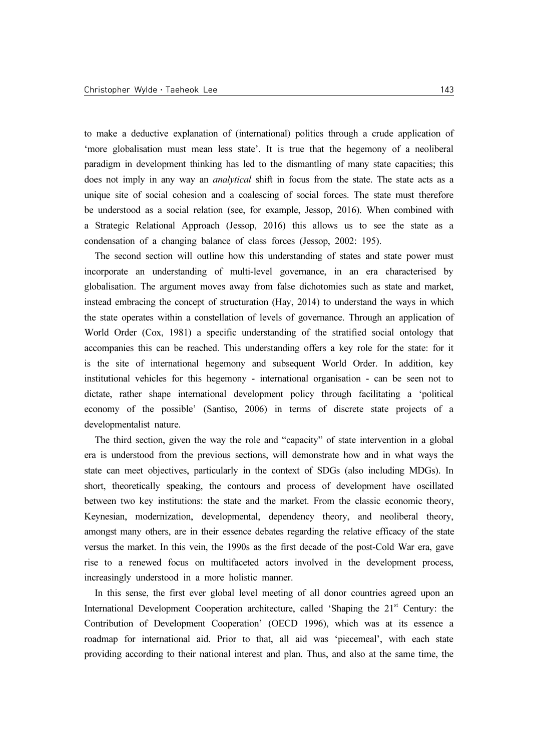to make a deductive explanation of (international) politics through a crude application of 'more globalisation must mean less state'. It is true that the hegemony of a neoliberal paradigm in development thinking has led to the dismantling of many state capacities; this does not imply in any way an *analytical* shift in focus from the state. The state acts as a unique site of social cohesion and a coalescing of social forces. The state must therefore be understood as a social relation (see, for example, Jessop, 2016). When combined with a Strategic Relational Approach (Jessop, 2016) this allows us to see the state as a condensation of a changing balance of class forces (Jessop, 2002: 195).

The second section will outline how this understanding of states and state power must incorporate an understanding of multi-level governance, in an era characterised by globalisation. The argument moves away from false dichotomies such as state and market, instead embracing the concept of structuration (Hay, 2014) to understand the ways in which the state operates within a constellation of levels of governance. Through an application of World Order (Cox, 1981) a specific understanding of the stratified social ontology that accompanies this can be reached. This understanding offers a key role for the state: for it is the site of international hegemony and subsequent World Order. In addition, key institutional vehicles for this hegemony - international organisation - can be seen not to dictate, rather shape international development policy through facilitating a 'political economy of the possible' (Santiso, 2006) in terms of discrete state projects of a developmentalist nature.

The third section, given the way the role and "capacity" of state intervention in a global era is understood from the previous sections, will demonstrate how and in what ways the state can meet objectives, particularly in the context of SDGs (also including MDGs). In short, theoretically speaking, the contours and process of development have oscillated between two key institutions: the state and the market. From the classic economic theory, Keynesian, modernization, developmental, dependency theory, and neoliberal theory, amongst many others, are in their essence debates regarding the relative efficacy of the state versus the market. In this vein, the 1990s as the first decade of the post-Cold War era, gave rise to a renewed focus on multifaceted actors involved in the development process, increasingly understood in a more holistic manner.

In this sense, the first ever global level meeting of all donor countries agreed upon an International Development Cooperation architecture, called 'Shaping the  $21<sup>st</sup>$  Century: the Contribution of Development Cooperation' (OECD 1996), which was at its essence a roadmap for international aid. Prior to that, all aid was 'piecemeal', with each state providing according to their national interest and plan. Thus, and also at the same time, the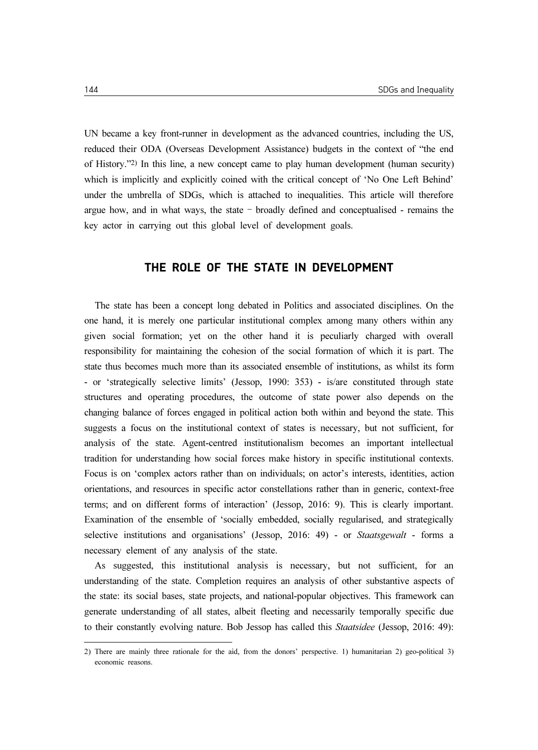UN became a key front-runner in development as the advanced countries, including the US, reduced their ODA (Overseas Development Assistance) budgets in the context of "the end of History."2) In this line, a new concept came to play human development (human security) which is implicitly and explicitly coined with the critical concept of 'No One Left Behind' under the umbrella of SDGs, which is attached to inequalities. This article will therefore argue how, and in what ways, the state – broadly defined and conceptualised - remains the key actor in carrying out this global level of development goals.

### THE ROLE OF THE STATE IN DEVELOPMENT

The state has been a concept long debated in Politics and associated disciplines. On the one hand, it is merely one particular institutional complex among many others within any given social formation; yet on the other hand it is peculiarly charged with overall responsibility for maintaining the cohesion of the social formation of which it is part. The state thus becomes much more than its associated ensemble of institutions, as whilst its form - or 'strategically selective limits' (Jessop, 1990: 353) - is/are constituted through state structures and operating procedures, the outcome of state power also depends on the changing balance of forces engaged in political action both within and beyond the state. This suggests a focus on the institutional context of states is necessary, but not sufficient, for analysis of the state. Agent-centred institutionalism becomes an important intellectual tradition for understanding how social forces make history in specific institutional contexts. Focus is on 'complex actors rather than on individuals; on actor's interests, identities, action orientations, and resources in specific actor constellations rather than in generic, context-free terms; and on different forms of interaction' (Jessop, 2016: 9). This is clearly important. Examination of the ensemble of 'socially embedded, socially regularised, and strategically selective institutions and organisations' (Jessop, 2016: 49) - or *Staatsgewalt* - forms a necessary element of any analysis of the state.

As suggested, this institutional analysis is necessary, but not sufficient, for an understanding of the state. Completion requires an analysis of other substantive aspects of the state: its social bases, state projects, and national-popular objectives. This framework can generate understanding of all states, albeit fleeting and necessarily temporally specific due to their constantly evolving nature. Bob Jessop has called this Staatsidee (Jessop, 2016: 49):

<sup>2)</sup> There are mainly three rationale for the aid, from the donors' perspective. 1) humanitarian 2) geo-political 3) economic reasons.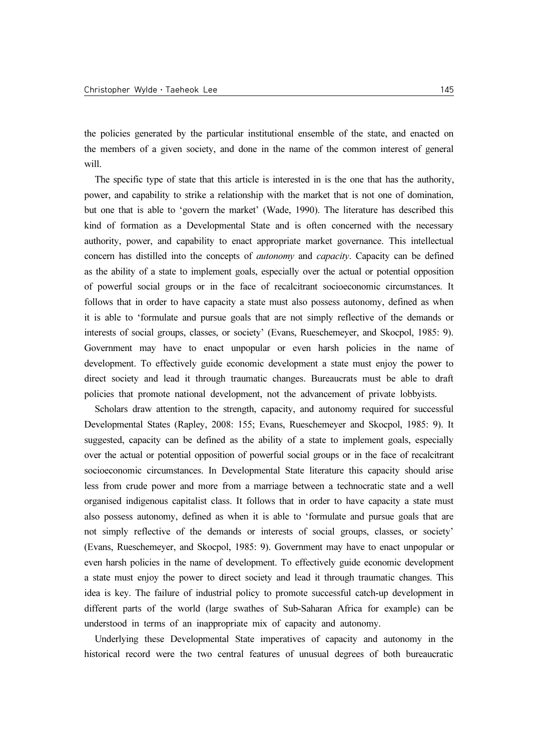the policies generated by the particular institutional ensemble of the state, and enacted on the members of a given society, and done in the name of the common interest of general will.

The specific type of state that this article is interested in is the one that has the authority, power, and capability to strike a relationship with the market that is not one of domination, but one that is able to 'govern the market' (Wade, 1990). The literature has described this kind of formation as a Developmental State and is often concerned with the necessary authority, power, and capability to enact appropriate market governance. This intellectual concern has distilled into the concepts of *autonomy* and *capacity*. Capacity can be defined as the ability of a state to implement goals, especially over the actual or potential opposition of powerful social groups or in the face of recalcitrant socioeconomic circumstances. It follows that in order to have capacity a state must also possess autonomy, defined as when it is able to 'formulate and pursue goals that are not simply reflective of the demands or interests of social groups, classes, or society' (Evans, Rueschemeyer, and Skocpol, 1985: 9). Government may have to enact unpopular or even harsh policies in the name of development. To effectively guide economic development a state must enjoy the power to direct society and lead it through traumatic changes. Bureaucrats must be able to draft policies that promote national development, not the advancement of private lobbyists.

Scholars draw attention to the strength, capacity, and autonomy required for successful Developmental States (Rapley, 2008: 155; Evans, Rueschemeyer and Skocpol, 1985: 9). It suggested, capacity can be defined as the ability of a state to implement goals, especially over the actual or potential opposition of powerful social groups or in the face of recalcitrant socioeconomic circumstances. In Developmental State literature this capacity should arise less from crude power and more from a marriage between a technocratic state and a well organised indigenous capitalist class. It follows that in order to have capacity a state must also possess autonomy, defined as when it is able to 'formulate and pursue goals that are not simply reflective of the demands or interests of social groups, classes, or society' (Evans, Rueschemeyer, and Skocpol, 1985: 9). Government may have to enact unpopular or even harsh policies in the name of development. To effectively guide economic development a state must enjoy the power to direct society and lead it through traumatic changes. This idea is key. The failure of industrial policy to promote successful catch-up development in different parts of the world (large swathes of Sub-Saharan Africa for example) can be understood in terms of an inappropriate mix of capacity and autonomy.

Underlying these Developmental State imperatives of capacity and autonomy in the historical record were the two central features of unusual degrees of both bureaucratic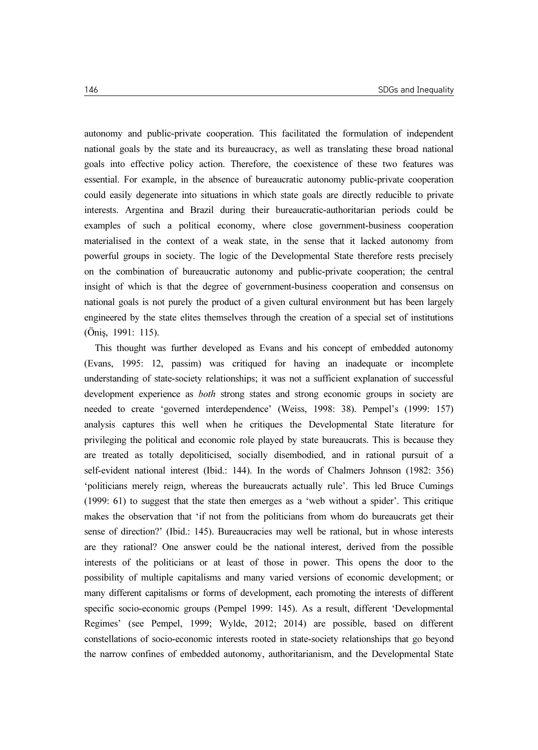autonomy and public-private cooperation. This facilitated the formulation of independent national goals by the state and its bureaucracy, as well as translating these broad national goals into effective policy action. Therefore, the coexistence of these two features was essential. For example, in the absence of bureaucratic autonomy public-private cooperation could easily degenerate into situations in which state goals are directly reducible to private interests. Argentina and Brazil during their bureaucratic-authoritarian periods could be examples of such a political economy, where close government-business cooperation materialised in the context of a weak state, in the sense that it lacked autonomy from powerful groups in society. The logic of the Developmental State therefore rests precisely on the combination of bureaucratic autonomy and public-private cooperation; the central insight of which is that the degree of government-business cooperation and consensus on national goals is not purely the product of a given cultural environment but has been largely engineered by the state elites themselves through the creation of a special set of institutions (Öniş, 1991: 115).

This thought was further developed as Evans and his concept of embedded autonomy (Evans, 1995: 12, passim) was critiqued for having an inadequate or incomplete understanding of state-society relationships; it was not a sufficient explanation of successful development experience as *both* strong states and strong economic groups in society are needed to create 'governed interdependence' (Weiss, 1998: 38). Pempel's (1999: 157) analysis captures this well when he critiques the Developmental State literature for privileging the political and economic role played by state bureaucrats. This is because they are treated as totally depoliticised, socially disembodied, and in rational pursuit of a self-evident national interest (Ibid.: 144). In the words of Chalmers Johnson (1982: 356) 'politicians merely reign, whereas the bureaucrats actually rule'. This led Bruce Cumings (1999: 61) to suggest that the state then emerges as a 'web without a spider'. This critique makes the observation that 'if not from the politicians from whom do bureaucrats get their sense of direction?' (Ibid.: 145). Bureaucracies may well be rational, but in whose interests are they rational? One answer could be the national interest, derived from the possible interests of the politicians or at least of those in power. This opens the door to the possibility of multiple capitalisms and many varied versions of economic development; or many different capitalisms or forms of development, each promoting the interests of different specific socio-economic groups (Pempel 1999: 145). As a result, different 'Developmental Regimes' (see Pempel, 1999; Wylde, 2012; 2014) are possible, based on different constellations of socio-economic interests rooted in state-society relationships that go beyond the narrow confines of embedded autonomy, authoritarianism, and the Developmental State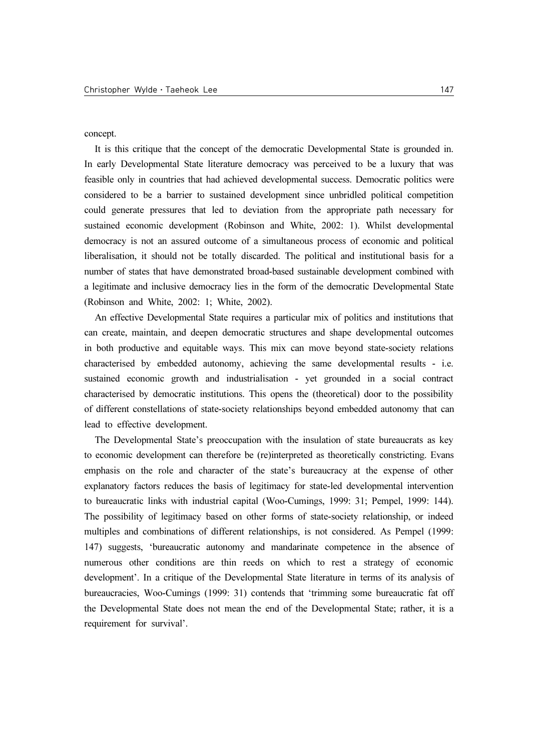concept.

It is this critique that the concept of the democratic Developmental State is grounded in. In early Developmental State literature democracy was perceived to be a luxury that was feasible only in countries that had achieved developmental success. Democratic politics were considered to be a barrier to sustained development since unbridled political competition could generate pressures that led to deviation from the appropriate path necessary for sustained economic development (Robinson and White, 2002: 1). Whilst developmental democracy is not an assured outcome of a simultaneous process of economic and political liberalisation, it should not be totally discarded. The political and institutional basis for a number of states that have demonstrated broad-based sustainable development combined with a legitimate and inclusive democracy lies in the form of the democratic Developmental State (Robinson and White, 2002: 1; White, 2002).

An effective Developmental State requires a particular mix of politics and institutions that can create, maintain, and deepen democratic structures and shape developmental outcomes in both productive and equitable ways. This mix can move beyond state-society relations characterised by embedded autonomy, achieving the same developmental results - i.e. sustained economic growth and industrialisation - yet grounded in a social contract characterised by democratic institutions. This opens the (theoretical) door to the possibility of different constellations of state-society relationships beyond embedded autonomy that can lead to effective development.

The Developmental State's preoccupation with the insulation of state bureaucrats as key to economic development can therefore be (re)interpreted as theoretically constricting. Evans emphasis on the role and character of the state's bureaucracy at the expense of other explanatory factors reduces the basis of legitimacy for state-led developmental intervention to bureaucratic links with industrial capital (Woo-Cumings, 1999: 31; Pempel, 1999: 144). The possibility of legitimacy based on other forms of state-society relationship, or indeed multiples and combinations of different relationships, is not considered. As Pempel (1999: 147) suggests, 'bureaucratic autonomy and mandarinate competence in the absence of numerous other conditions are thin reeds on which to rest a strategy of economic development'. In a critique of the Developmental State literature in terms of its analysis of bureaucracies, Woo-Cumings (1999: 31) contends that 'trimming some bureaucratic fat off the Developmental State does not mean the end of the Developmental State; rather, it is a requirement for survival'.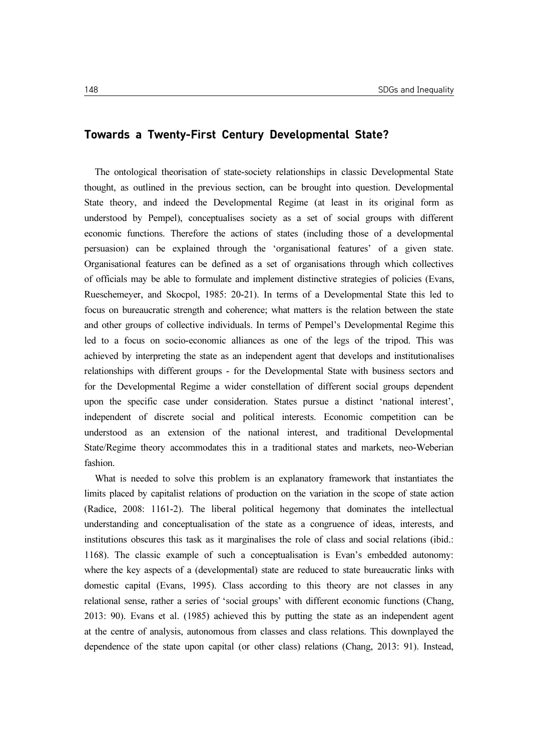#### Towards a Twenty-First Century Developmental State?

The ontological theorisation of state-society relationships in classic Developmental State thought, as outlined in the previous section, can be brought into question. Developmental State theory, and indeed the Developmental Regime (at least in its original form as understood by Pempel), conceptualises society as a set of social groups with different economic functions. Therefore the actions of states (including those of a developmental persuasion) can be explained through the 'organisational features' of a given state. Organisational features can be defined as a set of organisations through which collectives of officials may be able to formulate and implement distinctive strategies of policies (Evans, Rueschemeyer, and Skocpol, 1985: 20-21). In terms of a Developmental State this led to focus on bureaucratic strength and coherence; what matters is the relation between the state and other groups of collective individuals. In terms of Pempel's Developmental Regime this led to a focus on socio-economic alliances as one of the legs of the tripod. This was achieved by interpreting the state as an independent agent that develops and institutionalises relationships with different groups - for the Developmental State with business sectors and for the Developmental Regime a wider constellation of different social groups dependent upon the specific case under consideration. States pursue a distinct 'national interest', independent of discrete social and political interests. Economic competition can be understood as an extension of the national interest, and traditional Developmental State/Regime theory accommodates this in a traditional states and markets, neo-Weberian fashion.

What is needed to solve this problem is an explanatory framework that instantiates the limits placed by capitalist relations of production on the variation in the scope of state action (Radice, 2008: 1161-2). The liberal political hegemony that dominates the intellectual understanding and conceptualisation of the state as a congruence of ideas, interests, and institutions obscures this task as it marginalises the role of class and social relations (ibid.: 1168). The classic example of such a conceptualisation is Evan's embedded autonomy: where the key aspects of a (developmental) state are reduced to state bureaucratic links with domestic capital (Evans, 1995). Class according to this theory are not classes in any relational sense, rather a series of 'social groups' with different economic functions (Chang, 2013: 90). Evans et al. (1985) achieved this by putting the state as an independent agent at the centre of analysis, autonomous from classes and class relations. This downplayed the dependence of the state upon capital (or other class) relations (Chang, 2013: 91). Instead,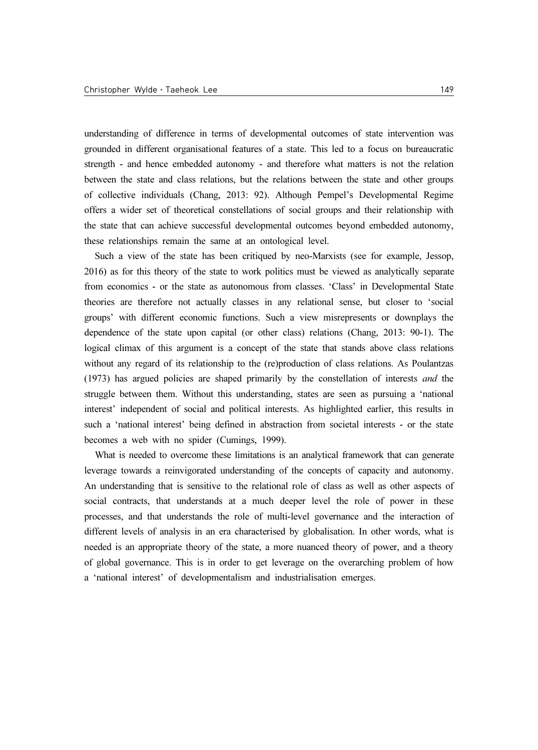understanding of difference in terms of developmental outcomes of state intervention was grounded in different organisational features of a state. This led to a focus on bureaucratic strength - and hence embedded autonomy - and therefore what matters is not the relation between the state and class relations, but the relations between the state and other groups of collective individuals (Chang, 2013: 92). Although Pempel's Developmental Regime offers a wider set of theoretical constellations of social groups and their relationship with the state that can achieve successful developmental outcomes beyond embedded autonomy, these relationships remain the same at an ontological level.

Such a view of the state has been critiqued by neo-Marxists (see for example, Jessop, 2016) as for this theory of the state to work politics must be viewed as analytically separate from economics - or the state as autonomous from classes. 'Class' in Developmental State theories are therefore not actually classes in any relational sense, but closer to 'social groups' with different economic functions. Such a view misrepresents or downplays the dependence of the state upon capital (or other class) relations (Chang, 2013: 90-1). The logical climax of this argument is a concept of the state that stands above class relations without any regard of its relationship to the (re)production of class relations. As Poulantzas (1973) has argued policies are shaped primarily by the constellation of interests and the struggle between them. Without this understanding, states are seen as pursuing a 'national interest' independent of social and political interests. As highlighted earlier, this results in such a 'national interest' being defined in abstraction from societal interests - or the state becomes a web with no spider (Cumings, 1999).

What is needed to overcome these limitations is an analytical framework that can generate leverage towards a reinvigorated understanding of the concepts of capacity and autonomy. An understanding that is sensitive to the relational role of class as well as other aspects of social contracts, that understands at a much deeper level the role of power in these processes, and that understands the role of multi-level governance and the interaction of different levels of analysis in an era characterised by globalisation. In other words, what is needed is an appropriate theory of the state, a more nuanced theory of power, and a theory of global governance. This is in order to get leverage on the overarching problem of how a 'national interest' of developmentalism and industrialisation emerges.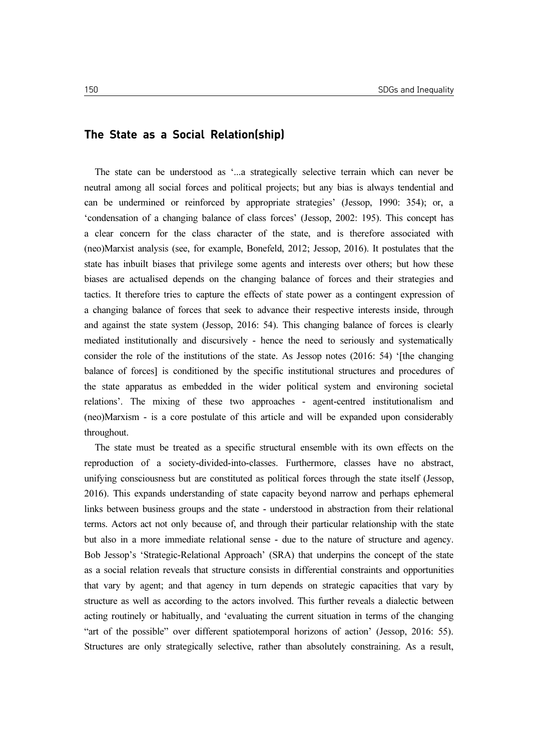#### The State as a Social Relation(ship)

The state can be understood as '...a strategically selective terrain which can never be neutral among all social forces and political projects; but any bias is always tendential and can be undermined or reinforced by appropriate strategies' (Jessop, 1990: 354); or, a 'condensation of a changing balance of class forces' (Jessop, 2002: 195). This concept has a clear concern for the class character of the state, and is therefore associated with (neo)Marxist analysis (see, for example, Bonefeld, 2012; Jessop, 2016). It postulates that the state has inbuilt biases that privilege some agents and interests over others; but how these biases are actualised depends on the changing balance of forces and their strategies and tactics. It therefore tries to capture the effects of state power as a contingent expression of a changing balance of forces that seek to advance their respective interests inside, through and against the state system (Jessop, 2016: 54). This changing balance of forces is clearly mediated institutionally and discursively - hence the need to seriously and systematically consider the role of the institutions of the state. As Jessop notes (2016: 54) '[the changing balance of forces] is conditioned by the specific institutional structures and procedures of the state apparatus as embedded in the wider political system and environing societal relations'. The mixing of these two approaches - agent-centred institutionalism and (neo)Marxism - is a core postulate of this article and will be expanded upon considerably throughout.

The state must be treated as a specific structural ensemble with its own effects on the reproduction of a society-divided-into-classes. Furthermore, classes have no abstract, unifying consciousness but are constituted as political forces through the state itself (Jessop, 2016). This expands understanding of state capacity beyond narrow and perhaps ephemeral links between business groups and the state - understood in abstraction from their relational terms. Actors act not only because of, and through their particular relationship with the state but also in a more immediate relational sense - due to the nature of structure and agency. Bob Jessop's 'Strategic-Relational Approach' (SRA) that underpins the concept of the state as a social relation reveals that structure consists in differential constraints and opportunities that vary by agent; and that agency in turn depends on strategic capacities that vary by structure as well as according to the actors involved. This further reveals a dialectic between acting routinely or habitually, and 'evaluating the current situation in terms of the changing "art of the possible" over different spatiotemporal horizons of action' (Jessop, 2016: 55). Structures are only strategically selective, rather than absolutely constraining. As a result,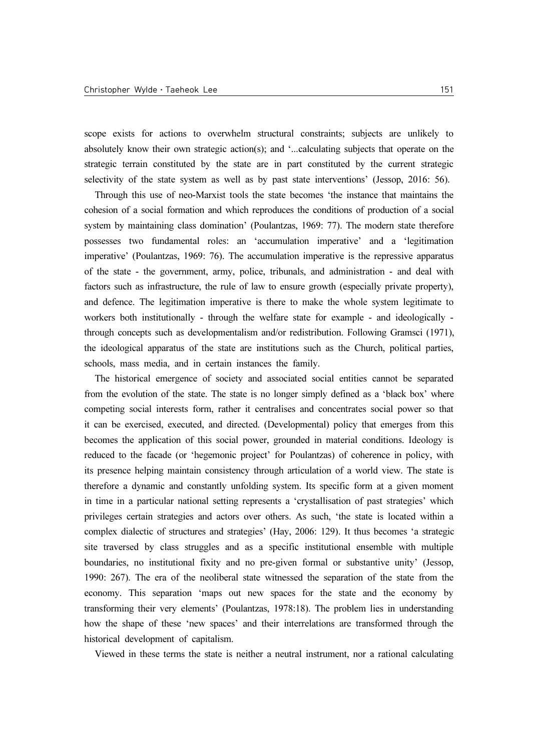scope exists for actions to overwhelm structural constraints; subjects are unlikely to absolutely know their own strategic action(s); and '...calculating subjects that operate on the strategic terrain constituted by the state are in part constituted by the current strategic selectivity of the state system as well as by past state interventions' (Jessop, 2016: 56).

Through this use of neo-Marxist tools the state becomes 'the instance that maintains the cohesion of a social formation and which reproduces the conditions of production of a social system by maintaining class domination' (Poulantzas, 1969: 77). The modern state therefore possesses two fundamental roles: an 'accumulation imperative' and a 'legitimation imperative' (Poulantzas, 1969: 76). The accumulation imperative is the repressive apparatus of the state - the government, army, police, tribunals, and administration - and deal with factors such as infrastructure, the rule of law to ensure growth (especially private property), and defence. The legitimation imperative is there to make the whole system legitimate to workers both institutionally - through the welfare state for example - and ideologically through concepts such as developmentalism and/or redistribution. Following Gramsci (1971), the ideological apparatus of the state are institutions such as the Church, political parties, schools, mass media, and in certain instances the family.

The historical emergence of society and associated social entities cannot be separated from the evolution of the state. The state is no longer simply defined as a 'black box' where competing social interests form, rather it centralises and concentrates social power so that it can be exercised, executed, and directed. (Developmental) policy that emerges from this becomes the application of this social power, grounded in material conditions. Ideology is reduced to the facade (or 'hegemonic project' for Poulantzas) of coherence in policy, with its presence helping maintain consistency through articulation of a world view. The state is therefore a dynamic and constantly unfolding system. Its specific form at a given moment in time in a particular national setting represents a 'crystallisation of past strategies' which privileges certain strategies and actors over others. As such, 'the state is located within a complex dialectic of structures and strategies' (Hay, 2006: 129). It thus becomes 'a strategic site traversed by class struggles and as a specific institutional ensemble with multiple boundaries, no institutional fixity and no pre-given formal or substantive unity' (Jessop, 1990: 267). The era of the neoliberal state witnessed the separation of the state from the economy. This separation 'maps out new spaces for the state and the economy by transforming their very elements' (Poulantzas, 1978:18). The problem lies in understanding how the shape of these 'new spaces' and their interrelations are transformed through the historical development of capitalism.

Viewed in these terms the state is neither a neutral instrument, nor a rational calculating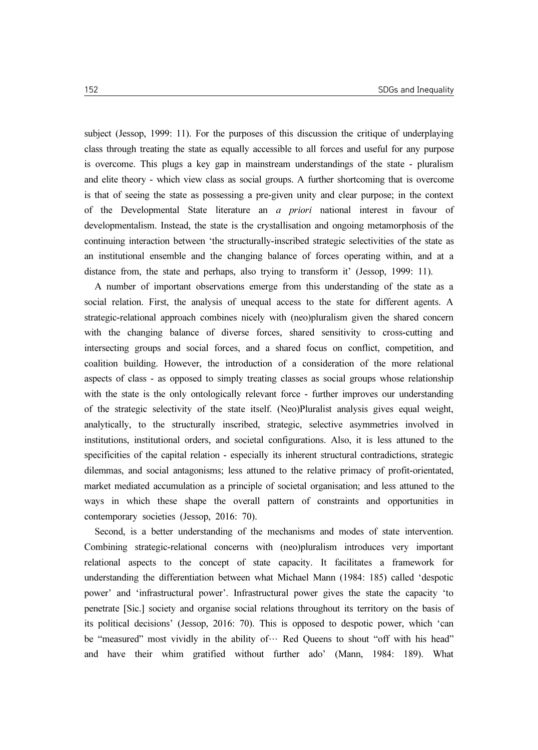subject (Jessop, 1999: 11). For the purposes of this discussion the critique of underplaying class through treating the state as equally accessible to all forces and useful for any purpose is overcome. This plugs a key gap in mainstream understandings of the state - pluralism and elite theory - which view class as social groups. A further shortcoming that is overcome is that of seeing the state as possessing a pre-given unity and clear purpose; in the context of the Developmental State literature an a priori national interest in favour of developmentalism. Instead, the state is the crystallisation and ongoing metamorphosis of the continuing interaction between 'the structurally-inscribed strategic selectivities of the state as an institutional ensemble and the changing balance of forces operating within, and at a distance from, the state and perhaps, also trying to transform it' (Jessop, 1999: 11).

A number of important observations emerge from this understanding of the state as a social relation. First, the analysis of unequal access to the state for different agents. A strategic-relational approach combines nicely with (neo)pluralism given the shared concern with the changing balance of diverse forces, shared sensitivity to cross-cutting and intersecting groups and social forces, and a shared focus on conflict, competition, and coalition building. However, the introduction of a consideration of the more relational aspects of class - as opposed to simply treating classes as social groups whose relationship with the state is the only ontologically relevant force - further improves our understanding of the strategic selectivity of the state itself. (Neo)Pluralist analysis gives equal weight, analytically, to the structurally inscribed, strategic, selective asymmetries involved in institutions, institutional orders, and societal configurations. Also, it is less attuned to the specificities of the capital relation - especially its inherent structural contradictions, strategic dilemmas, and social antagonisms; less attuned to the relative primacy of profit-orientated, market mediated accumulation as a principle of societal organisation; and less attuned to the ways in which these shape the overall pattern of constraints and opportunities in contemporary societies (Jessop, 2016: 70).

Second, is a better understanding of the mechanisms and modes of state intervention. Combining strategic-relational concerns with (neo)pluralism introduces very important relational aspects to the concept of state capacity. It facilitates a framework for understanding the differentiation between what Michael Mann (1984: 185) called 'despotic power' and 'infrastructural power'. Infrastructural power gives the state the capacity 'to penetrate [Sic.] society and organise social relations throughout its territory on the basis of its political decisions' (Jessop, 2016: 70). This is opposed to despotic power, which 'can be "measured" most vividly in the ability of … Red Queens to shout "off with his head" and have their whim gratified without further ado' (Mann, 1984: 189). What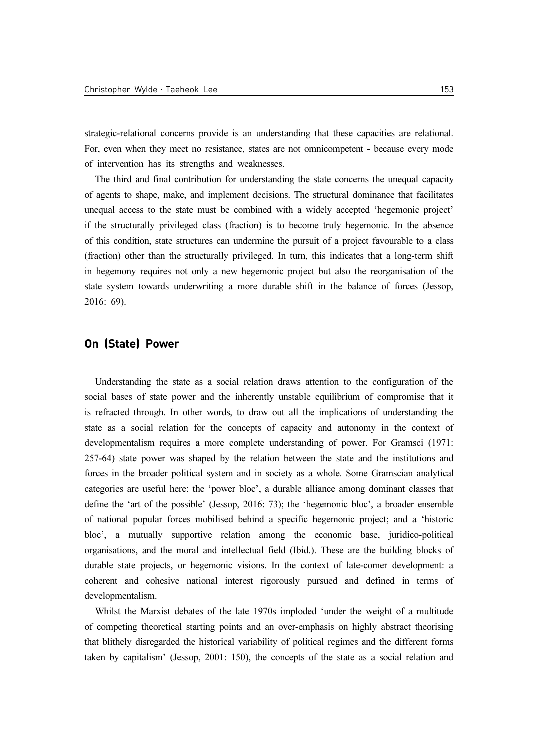strategic-relational concerns provide is an understanding that these capacities are relational. For, even when they meet no resistance, states are not omnicompetent - because every mode of intervention has its strengths and weaknesses.

The third and final contribution for understanding the state concerns the unequal capacity of agents to shape, make, and implement decisions. The structural dominance that facilitates unequal access to the state must be combined with a widely accepted 'hegemonic project' if the structurally privileged class (fraction) is to become truly hegemonic. In the absence of this condition, state structures can undermine the pursuit of a project favourable to a class (fraction) other than the structurally privileged. In turn, this indicates that a long-term shift in hegemony requires not only a new hegemonic project but also the reorganisation of the state system towards underwriting a more durable shift in the balance of forces (Jessop, 2016: 69).

# On (State) Power

Understanding the state as a social relation draws attention to the configuration of the social bases of state power and the inherently unstable equilibrium of compromise that it is refracted through. In other words, to draw out all the implications of understanding the state as a social relation for the concepts of capacity and autonomy in the context of developmentalism requires a more complete understanding of power. For Gramsci (1971: 257-64) state power was shaped by the relation between the state and the institutions and forces in the broader political system and in society as a whole. Some Gramscian analytical categories are useful here: the 'power bloc', a durable alliance among dominant classes that define the 'art of the possible' (Jessop, 2016: 73); the 'hegemonic bloc', a broader ensemble of national popular forces mobilised behind a specific hegemonic project; and a 'historic bloc', a mutually supportive relation among the economic base, juridico-political organisations, and the moral and intellectual field (Ibid.). These are the building blocks of durable state projects, or hegemonic visions. In the context of late-comer development: a coherent and cohesive national interest rigorously pursued and defined in terms of developmentalism.

Whilst the Marxist debates of the late 1970s imploded 'under the weight of a multitude of competing theoretical starting points and an over-emphasis on highly abstract theorising that blithely disregarded the historical variability of political regimes and the different forms taken by capitalism' (Jessop, 2001: 150), the concepts of the state as a social relation and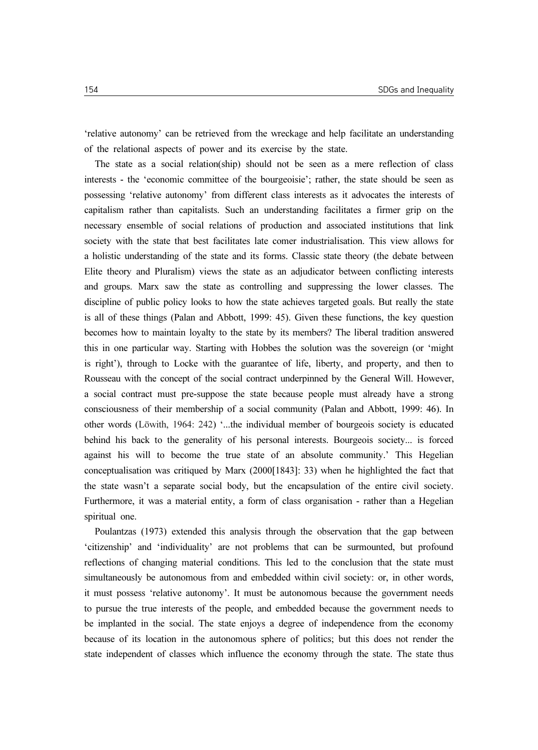'relative autonomy' can be retrieved from the wreckage and help facilitate an understanding of the relational aspects of power and its exercise by the state.

The state as a social relation(ship) should not be seen as a mere reflection of class interests - the 'economic committee of the bourgeoisie'; rather, the state should be seen as possessing 'relative autonomy' from different class interests as it advocates the interests of capitalism rather than capitalists. Such an understanding facilitates a firmer grip on the necessary ensemble of social relations of production and associated institutions that link society with the state that best facilitates late comer industrialisation. This view allows for a holistic understanding of the state and its forms. Classic state theory (the debate between Elite theory and Pluralism) views the state as an adjudicator between conflicting interests and groups. Marx saw the state as controlling and suppressing the lower classes. The discipline of public policy looks to how the state achieves targeted goals. But really the state is all of these things (Palan and Abbott, 1999: 45). Given these functions, the key question becomes how to maintain loyalty to the state by its members? The liberal tradition answered this in one particular way. Starting with Hobbes the solution was the sovereign (or 'might is right'), through to Locke with the guarantee of life, liberty, and property, and then to Rousseau with the concept of the social contract underpinned by the General Will. However, a social contract must pre-suppose the state because people must already have a strong consciousness of their membership of a social community (Palan and Abbott, 1999: 46). In other words (Löwith, 1964: 242) '...the individual member of bourgeois society is educated behind his back to the generality of his personal interests. Bourgeois society... is forced against his will to become the true state of an absolute community.' This Hegelian conceptualisation was critiqued by Marx (2000[1843]: 33) when he highlighted the fact that the state wasn't a separate social body, but the encapsulation of the entire civil society. Furthermore, it was a material entity, a form of class organisation - rather than a Hegelian spiritual one.

Poulantzas (1973) extended this analysis through the observation that the gap between 'citizenship' and 'individuality' are not problems that can be surmounted, but profound reflections of changing material conditions. This led to the conclusion that the state must simultaneously be autonomous from and embedded within civil society: or, in other words, it must possess 'relative autonomy'. It must be autonomous because the government needs to pursue the true interests of the people, and embedded because the government needs to be implanted in the social. The state enjoys a degree of independence from the economy because of its location in the autonomous sphere of politics; but this does not render the state independent of classes which influence the economy through the state. The state thus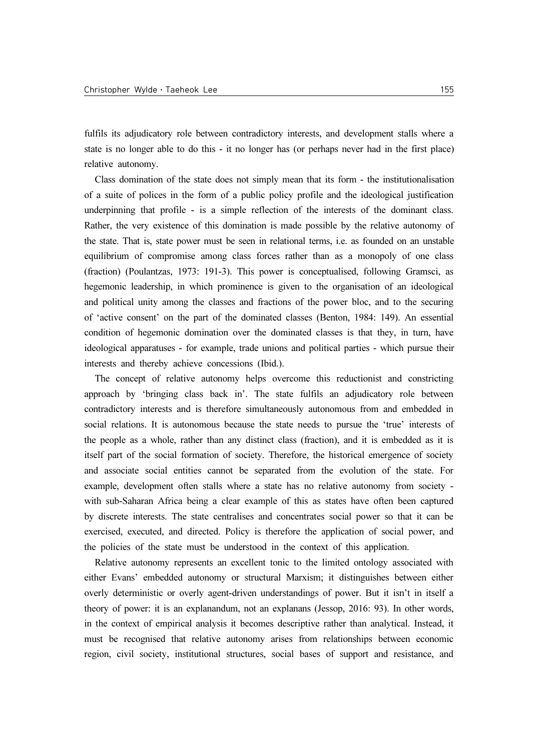fulfils its adjudicatory role between contradictory interests, and development stalls where a state is no longer able to do this - it no longer has (or perhaps never had in the first place) relative autonomy.

Class domination of the state does not simply mean that its form - the institutionalisation of a suite of polices in the form of a public policy profile and the ideological justification underpinning that profile - is a simple reflection of the interests of the dominant class. Rather, the very existence of this domination is made possible by the relative autonomy of the state. That is, state power must be seen in relational terms, i.e. as founded on an unstable equilibrium of compromise among class forces rather than as a monopoly of one class (fraction) (Poulantzas, 1973: 191-3). This power is conceptualised, following Gramsci, as hegemonic leadership, in which prominence is given to the organisation of an ideological and political unity among the classes and fractions of the power bloc, and to the securing of 'active consent' on the part of the dominated classes (Benton, 1984: 149). An essential condition of hegemonic domination over the dominated classes is that they, in turn, have ideological apparatuses - for example, trade unions and political parties - which pursue their interests and thereby achieve concessions (Ibid.).

The concept of relative autonomy helps overcome this reductionist and constricting approach by 'bringing class back in'. The state fulfils an adjudicatory role between contradictory interests and is therefore simultaneously autonomous from and embedded in social relations. It is autonomous because the state needs to pursue the 'true' interests of the people as a whole, rather than any distinct class (fraction), and it is embedded as it is itself part of the social formation of society. Therefore, the historical emergence of society and associate social entities cannot be separated from the evolution of the state. For example, development often stalls where a state has no relative autonomy from society with sub-Saharan Africa being a clear example of this as states have often been captured by discrete interests. The state centralises and concentrates social power so that it can be exercised, executed, and directed. Policy is therefore the application of social power, and the policies of the state must be understood in the context of this application.

Relative autonomy represents an excellent tonic to the limited ontology associated with either Evans' embedded autonomy or structural Marxism; it distinguishes between either overly deterministic or overly agent-driven understandings of power. But it isn't in itself a theory of power: it is an explanandum, not an explanans (Jessop, 2016: 93). In other words, in the context of empirical analysis it becomes descriptive rather than analytical. Instead, it must be recognised that relative autonomy arises from relationships between economic region, civil society, institutional structures, social bases of support and resistance, and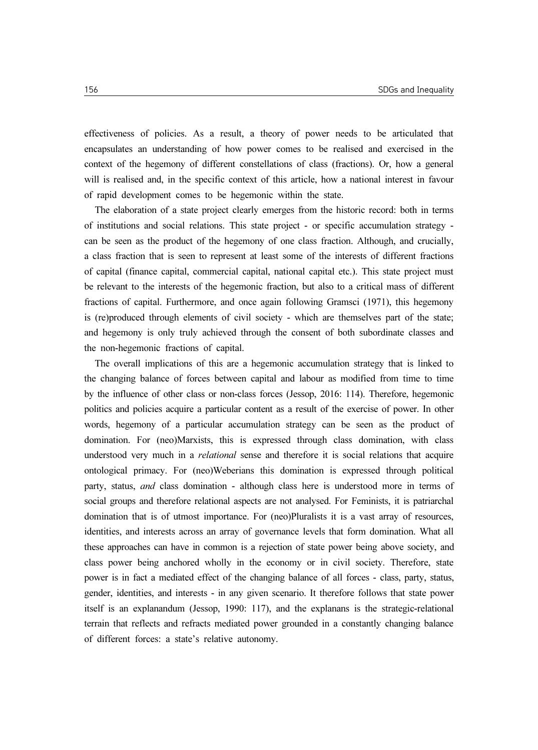effectiveness of policies. As a result, a theory of power needs to be articulated that encapsulates an understanding of how power comes to be realised and exercised in the context of the hegemony of different constellations of class (fractions). Or, how a general will is realised and, in the specific context of this article, how a national interest in favour of rapid development comes to be hegemonic within the state.

The elaboration of a state project clearly emerges from the historic record: both in terms of institutions and social relations. This state project - or specific accumulation strategy can be seen as the product of the hegemony of one class fraction. Although, and crucially, a class fraction that is seen to represent at least some of the interests of different fractions of capital (finance capital, commercial capital, national capital etc.). This state project must be relevant to the interests of the hegemonic fraction, but also to a critical mass of different fractions of capital. Furthermore, and once again following Gramsci (1971), this hegemony is (re)produced through elements of civil society - which are themselves part of the state; and hegemony is only truly achieved through the consent of both subordinate classes and the non-hegemonic fractions of capital.

The overall implications of this are a hegemonic accumulation strategy that is linked to the changing balance of forces between capital and labour as modified from time to time by the influence of other class or non-class forces (Jessop, 2016: 114). Therefore, hegemonic politics and policies acquire a particular content as a result of the exercise of power. In other words, hegemony of a particular accumulation strategy can be seen as the product of domination. For (neo)Marxists, this is expressed through class domination, with class understood very much in a *relational* sense and therefore it is social relations that acquire ontological primacy. For (neo)Weberians this domination is expressed through political party, status, and class domination - although class here is understood more in terms of social groups and therefore relational aspects are not analysed. For Feminists, it is patriarchal domination that is of utmost importance. For (neo)Pluralists it is a vast array of resources, identities, and interests across an array of governance levels that form domination. What all these approaches can have in common is a rejection of state power being above society, and class power being anchored wholly in the economy or in civil society. Therefore, state power is in fact a mediated effect of the changing balance of all forces - class, party, status, gender, identities, and interests - in any given scenario. It therefore follows that state power itself is an explanandum (Jessop, 1990: 117), and the explanans is the strategic-relational terrain that reflects and refracts mediated power grounded in a constantly changing balance of different forces: a state's relative autonomy.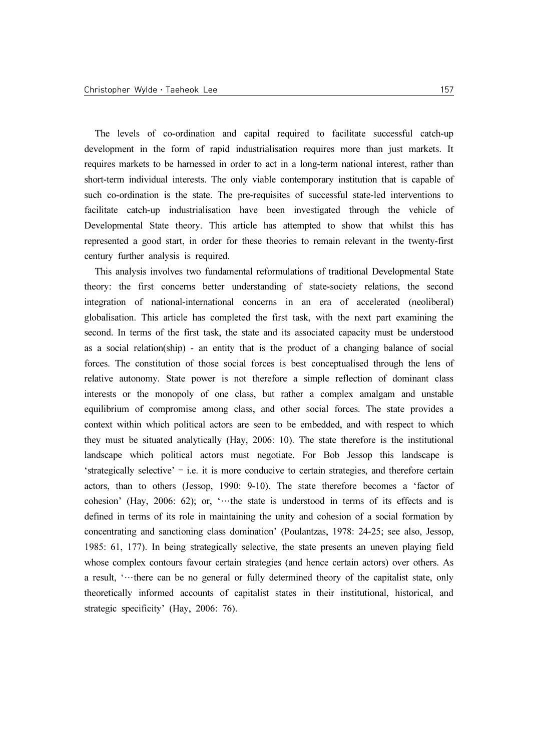The levels of co-ordination and capital required to facilitate successful catch-up development in the form of rapid industrialisation requires more than just markets. It requires markets to be harnessed in order to act in a long-term national interest, rather than short-term individual interests. The only viable contemporary institution that is capable of such co-ordination is the state. The pre-requisites of successful state-led interventions to facilitate catch-up industrialisation have been investigated through the vehicle of Developmental State theory. This article has attempted to show that whilst this has represented a good start, in order for these theories to remain relevant in the twenty-first century further analysis is required.

This analysis involves two fundamental reformulations of traditional Developmental State theory: the first concerns better understanding of state-society relations, the second integration of national-international concerns in an era of accelerated (neoliberal) globalisation. This article has completed the first task, with the next part examining the second. In terms of the first task, the state and its associated capacity must be understood as a social relation(ship) - an entity that is the product of a changing balance of social forces. The constitution of those social forces is best conceptualised through the lens of relative autonomy. State power is not therefore a simple reflection of dominant class interests or the monopoly of one class, but rather a complex amalgam and unstable equilibrium of compromise among class, and other social forces. The state provides a context within which political actors are seen to be embedded, and with respect to which they must be situated analytically (Hay, 2006: 10). The state therefore is the institutional landscape which political actors must negotiate. For Bob Jessop this landscape is 'strategically selective' – i.e. it is more conducive to certain strategies, and therefore certain actors, than to others (Jessop, 1990: 9-10). The state therefore becomes a 'factor of cohesion' (Hay, 2006: 62); or, '…the state is understood in terms of its effects and is defined in terms of its role in maintaining the unity and cohesion of a social formation by concentrating and sanctioning class domination' (Poulantzas, 1978: 24-25; see also, Jessop, 1985: 61, 177). In being strategically selective, the state presents an uneven playing field whose complex contours favour certain strategies (and hence certain actors) over others. As a result, '…there can be no general or fully determined theory of the capitalist state, only theoretically informed accounts of capitalist states in their institutional, historical, and strategic specificity' (Hay, 2006: 76).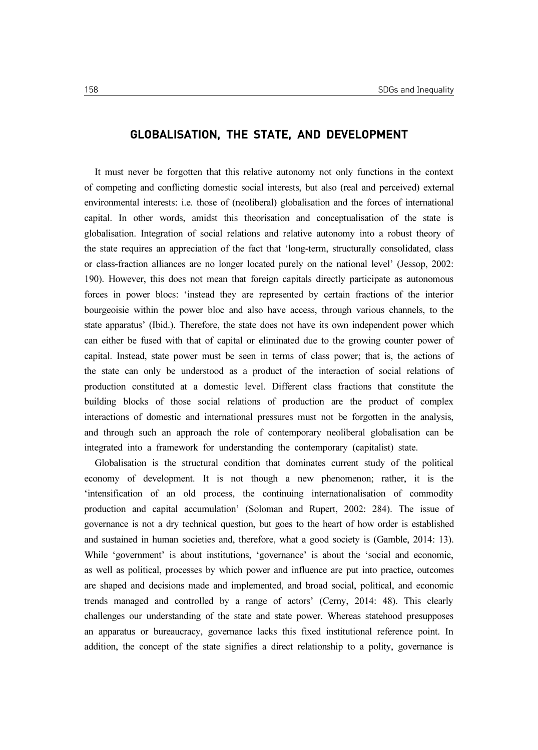#### GLOBALISATION, THE STATE, AND DEVELOPMENT

It must never be forgotten that this relative autonomy not only functions in the context of competing and conflicting domestic social interests, but also (real and perceived) external environmental interests: i.e. those of (neoliberal) globalisation and the forces of international capital. In other words, amidst this theorisation and conceptualisation of the state is globalisation. Integration of social relations and relative autonomy into a robust theory of the state requires an appreciation of the fact that 'long-term, structurally consolidated, class or class-fraction alliances are no longer located purely on the national level' (Jessop, 2002: 190). However, this does not mean that foreign capitals directly participate as autonomous forces in power blocs: 'instead they are represented by certain fractions of the interior bourgeoisie within the power bloc and also have access, through various channels, to the state apparatus' (Ibid.). Therefore, the state does not have its own independent power which can either be fused with that of capital or eliminated due to the growing counter power of capital. Instead, state power must be seen in terms of class power; that is, the actions of the state can only be understood as a product of the interaction of social relations of production constituted at a domestic level. Different class fractions that constitute the building blocks of those social relations of production are the product of complex interactions of domestic and international pressures must not be forgotten in the analysis, and through such an approach the role of contemporary neoliberal globalisation can be integrated into a framework for understanding the contemporary (capitalist) state.

Globalisation is the structural condition that dominates current study of the political economy of development. It is not though a new phenomenon; rather, it is the 'intensification of an old process, the continuing internationalisation of commodity production and capital accumulation' (Soloman and Rupert, 2002: 284). The issue of governance is not a dry technical question, but goes to the heart of how order is established and sustained in human societies and, therefore, what a good society is (Gamble, 2014: 13). While 'government' is about institutions, 'governance' is about the 'social and economic, as well as political, processes by which power and influence are put into practice, outcomes are shaped and decisions made and implemented, and broad social, political, and economic trends managed and controlled by a range of actors' (Cerny, 2014: 48). This clearly challenges our understanding of the state and state power. Whereas statehood presupposes an apparatus or bureaucracy, governance lacks this fixed institutional reference point. In addition, the concept of the state signifies a direct relationship to a polity, governance is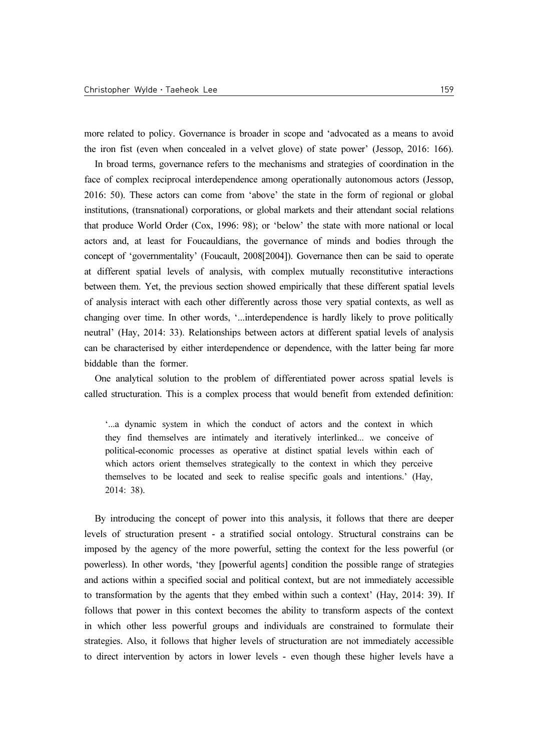more related to policy. Governance is broader in scope and 'advocated as a means to avoid the iron fist (even when concealed in a velvet glove) of state power' (Jessop, 2016: 166).

In broad terms, governance refers to the mechanisms and strategies of coordination in the face of complex reciprocal interdependence among operationally autonomous actors (Jessop, 2016: 50). These actors can come from 'above' the state in the form of regional or global institutions, (transnational) corporations, or global markets and their attendant social relations that produce World Order (Cox, 1996: 98); or 'below' the state with more national or local actors and, at least for Foucauldians, the governance of minds and bodies through the concept of 'governmentality' (Foucault, 2008[2004]). Governance then can be said to operate at different spatial levels of analysis, with complex mutually reconstitutive interactions between them. Yet, the previous section showed empirically that these different spatial levels of analysis interact with each other differently across those very spatial contexts, as well as changing over time. In other words, '...interdependence is hardly likely to prove politically neutral' (Hay, 2014: 33). Relationships between actors at different spatial levels of analysis can be characterised by either interdependence or dependence, with the latter being far more biddable than the former.

One analytical solution to the problem of differentiated power across spatial levels is called structuration. This is a complex process that would benefit from extended definition:

'...a dynamic system in which the conduct of actors and the context in which they find themselves are intimately and iteratively interlinked... we conceive of political-economic processes as operative at distinct spatial levels within each of which actors orient themselves strategically to the context in which they perceive themselves to be located and seek to realise specific goals and intentions.' (Hay, 2014: 38).

By introducing the concept of power into this analysis, it follows that there are deeper levels of structuration present - a stratified social ontology. Structural constrains can be imposed by the agency of the more powerful, setting the context for the less powerful (or powerless). In other words, 'they [powerful agents] condition the possible range of strategies and actions within a specified social and political context, but are not immediately accessible to transformation by the agents that they embed within such a context' (Hay, 2014: 39). If follows that power in this context becomes the ability to transform aspects of the context in which other less powerful groups and individuals are constrained to formulate their strategies. Also, it follows that higher levels of structuration are not immediately accessible to direct intervention by actors in lower levels - even though these higher levels have a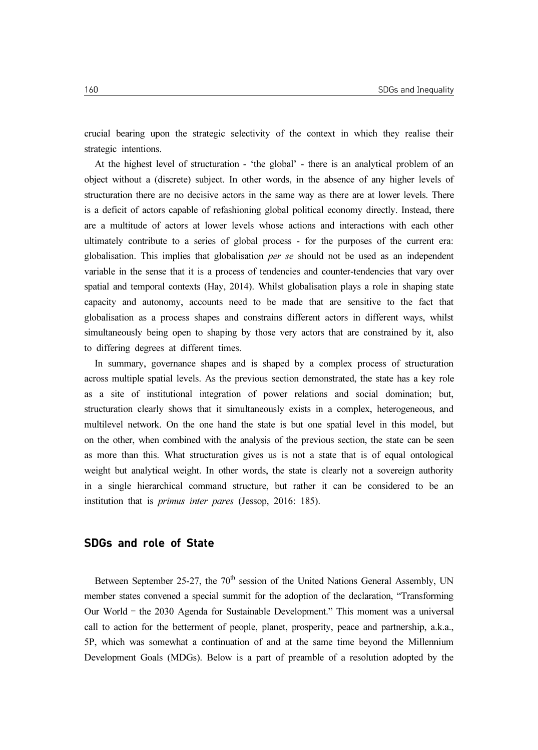crucial bearing upon the strategic selectivity of the context in which they realise their strategic intentions.

At the highest level of structuration - 'the global' - there is an analytical problem of an object without a (discrete) subject. In other words, in the absence of any higher levels of structuration there are no decisive actors in the same way as there are at lower levels. There is a deficit of actors capable of refashioning global political economy directly. Instead, there are a multitude of actors at lower levels whose actions and interactions with each other ultimately contribute to a series of global process - for the purposes of the current era: globalisation. This implies that globalisation per se should not be used as an independent variable in the sense that it is a process of tendencies and counter-tendencies that vary over spatial and temporal contexts (Hay, 2014). Whilst globalisation plays a role in shaping state capacity and autonomy, accounts need to be made that are sensitive to the fact that globalisation as a process shapes and constrains different actors in different ways, whilst simultaneously being open to shaping by those very actors that are constrained by it, also to differing degrees at different times.

In summary, governance shapes and is shaped by a complex process of structuration across multiple spatial levels. As the previous section demonstrated, the state has a key role as a site of institutional integration of power relations and social domination; but, structuration clearly shows that it simultaneously exists in a complex, heterogeneous, and multilevel network. On the one hand the state is but one spatial level in this model, but on the other, when combined with the analysis of the previous section, the state can be seen as more than this. What structuration gives us is not a state that is of equal ontological weight but analytical weight. In other words, the state is clearly not a sovereign authority in a single hierarchical command structure, but rather it can be considered to be an institution that is *primus inter pares* (Jessop, 2016: 185).

#### SDGs and role of State

Between September 25-27, the  $70<sup>th</sup>$  session of the United Nations General Assembly, UN member states convened a special summit for the adoption of the declaration, "Transforming Our World – the 2030 Agenda for Sustainable Development." This moment was a universal call to action for the betterment of people, planet, prosperity, peace and partnership, a.k.a., 5P, which was somewhat a continuation of and at the same time beyond the Millennium Development Goals (MDGs). Below is a part of preamble of a resolution adopted by the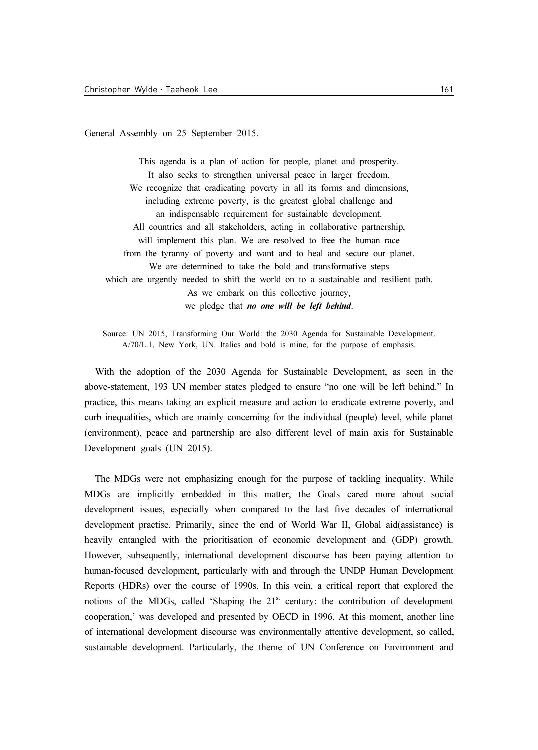General Assembly on 25 September 2015.

This agenda is a plan of action for people, planet and prosperity. It also seeks to strengthen universal peace in larger freedom. We recognize that eradicating poverty in all its forms and dimensions, including extreme poverty, is the greatest global challenge and an indispensable requirement for sustainable development. All countries and all stakeholders, acting in collaborative partnership, will implement this plan. We are resolved to free the human race from the tyranny of poverty and want and to heal and secure our planet. We are determined to take the bold and transformative steps which are urgently needed to shift the world on to a sustainable and resilient path. As we embark on this collective journey, we pledge that *no one will be left behind*.

Source: UN 2015, Transforming Our World: the 2030 Agenda for Sustainable Development. A/70/L.1, New York, UN. Italics and bold is mine, for the purpose of emphasis.

With the adoption of the 2030 Agenda for Sustainable Development, as seen in the above-statement, 193 UN member states pledged to ensure "no one will be left behind." In practice, this means taking an explicit measure and action to eradicate extreme poverty, and curb inequalities, which are mainly concerning for the individual (people) level, while planet (environment), peace and partnership are also different level of main axis for Sustainable Development goals (UN 2015).

The MDGs were not emphasizing enough for the purpose of tackling inequality. While MDGs are implicitly embedded in this matter, the Goals cared more about social development issues, especially when compared to the last five decades of international development practise. Primarily, since the end of World War II, Global aid(assistance) is heavily entangled with the prioritisation of economic development and (GDP) growth. However, subsequently, international development discourse has been paying attention to human-focused development, particularly with and through the UNDP Human Development Reports (HDRs) over the course of 1990s. In this vein, a critical report that explored the notions of the MDGs, called 'Shaping the  $21<sup>st</sup>$  century: the contribution of development cooperation,' was developed and presented by OECD in 1996. At this moment, another line of international development discourse was environmentally attentive development, so called, sustainable development. Particularly, the theme of UN Conference on Environment and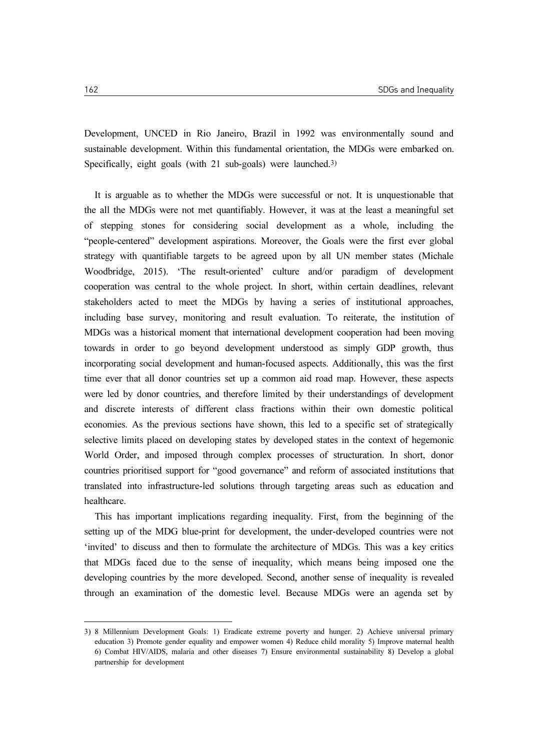Development, UNCED in Rio Janeiro, Brazil in 1992 was environmentally sound and sustainable development. Within this fundamental orientation, the MDGs were embarked on. Specifically, eight goals (with 21 sub-goals) were launched.<sup>3)</sup>

It is arguable as to whether the MDGs were successful or not. It is unquestionable that the all the MDGs were not met quantifiably. However, it was at the least a meaningful set of stepping stones for considering social development as a whole, including the "people-centered" development aspirations. Moreover, the Goals were the first ever global strategy with quantifiable targets to be agreed upon by all UN member states (Michale Woodbridge, 2015). 'The result-oriented' culture and/or paradigm of development cooperation was central to the whole project. In short, within certain deadlines, relevant stakeholders acted to meet the MDGs by having a series of institutional approaches, including base survey, monitoring and result evaluation. To reiterate, the institution of MDGs was a historical moment that international development cooperation had been moving towards in order to go beyond development understood as simply GDP growth, thus incorporating social development and human-focused aspects. Additionally, this was the first time ever that all donor countries set up a common aid road map. However, these aspects were led by donor countries, and therefore limited by their understandings of development and discrete interests of different class fractions within their own domestic political economies. As the previous sections have shown, this led to a specific set of strategically selective limits placed on developing states by developed states in the context of hegemonic World Order, and imposed through complex processes of structuration. In short, donor countries prioritised support for "good governance" and reform of associated institutions that translated into infrastructure-led solutions through targeting areas such as education and healthcare.

This has important implications regarding inequality. First, from the beginning of the setting up of the MDG blue-print for development, the under-developed countries were not 'invited' to discuss and then to formulate the architecture of MDGs. This was a key critics that MDGs faced due to the sense of inequality, which means being imposed one the developing countries by the more developed. Second, another sense of inequality is revealed through an examination of the domestic level. Because MDGs were an agenda set by

<sup>3) 8</sup> Millennium Development Goals: 1) Eradicate extreme poverty and hunger. 2) Achieve universal primary education 3) Promote gender equality and empower women 4) Reduce child morality 5) Improve maternal health 6) Combat HIV/AIDS, malaria and other diseases 7) Ensure environmental sustainability 8) Develop a global partnership for development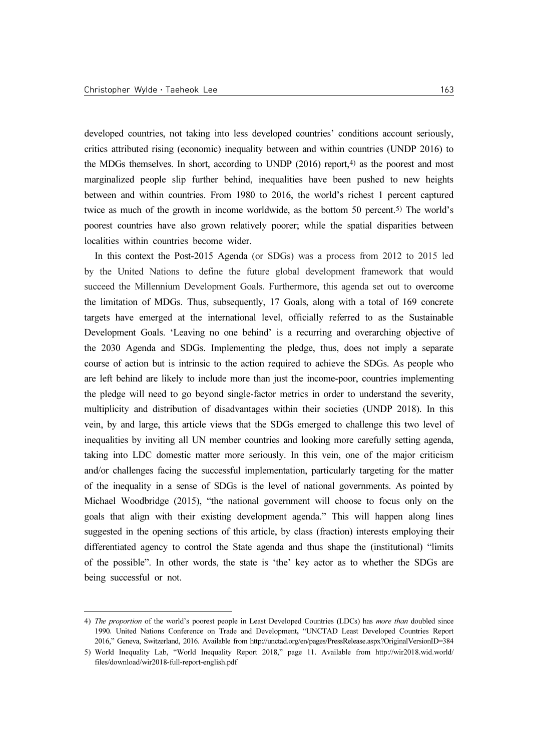developed countries, not taking into less developed countries' conditions account seriously, critics attributed rising (economic) inequality between and within countries (UNDP 2016) to the MDGs themselves. In short, according to UNDP  $(2016)$  report,<sup>4)</sup> as the poorest and most marginalized people slip further behind, inequalities have been pushed to new heights between and within countries. From 1980 to 2016, the world's richest 1 percent captured twice as much of the growth in income worldwide, as the bottom 50 percent.5) The world's poorest countries have also grown relatively poorer; while the spatial disparities between localities within countries become wider.

In this context the Post-2015 Agenda (or SDGs) was a process from 2012 to 2015 led by the United Nations to define the future global development framework that would succeed the Millennium Development Goals. Furthermore, this agenda set out to overcome the limitation of MDGs. Thus, subsequently, 17 Goals, along with a total of 169 concrete targets have emerged at the international level, officially referred to as the Sustainable Development Goals. 'Leaving no one behind' is a recurring and overarching objective of the 2030 Agenda and SDGs. Implementing the pledge, thus, does not imply a separate course of action but is intrinsic to the action required to achieve the SDGs. As people who are left behind are likely to include more than just the income-poor, countries implementing the pledge will need to go beyond single-factor metrics in order to understand the severity, multiplicity and distribution of disadvantages within their societies (UNDP 2018). In this vein, by and large, this article views that the SDGs emerged to challenge this two level of inequalities by inviting all UN member countries and looking more carefully setting agenda, taking into LDC domestic matter more seriously. In this vein, one of the major criticism and/or challenges facing the successful implementation, particularly targeting for the matter of the inequality in a sense of SDGs is the level of national governments. As pointed by Michael Woodbridge (2015), "the national government will choose to focus only on the goals that align with their existing development agenda." This will happen along lines suggested in the opening sections of this article, by class (fraction) interests employing their differentiated agency to control the State agenda and thus shape the (institutional) "limits of the possible". In other words, the state is 'the' key actor as to whether the SDGs are being successful or not.

<sup>4)</sup> The proportion of the world's poorest people in Least Developed Countries (LDCs) has more than doubled since <sup>1990</sup>. United Nations Conference on Trade and Development, "UNCTAD Least Developed Countries Report 2016," Geneva, Switzerland, 2016. Available from http://unctad.org/en/pages/PressRelease.aspx?OriginalVersionID=384

<sup>5)</sup> World Inequality Lab, "World Inequality Report 2018," page 11. Available from http://wir2018.wid.world/ files/download/wir2018-full-report-english.pdf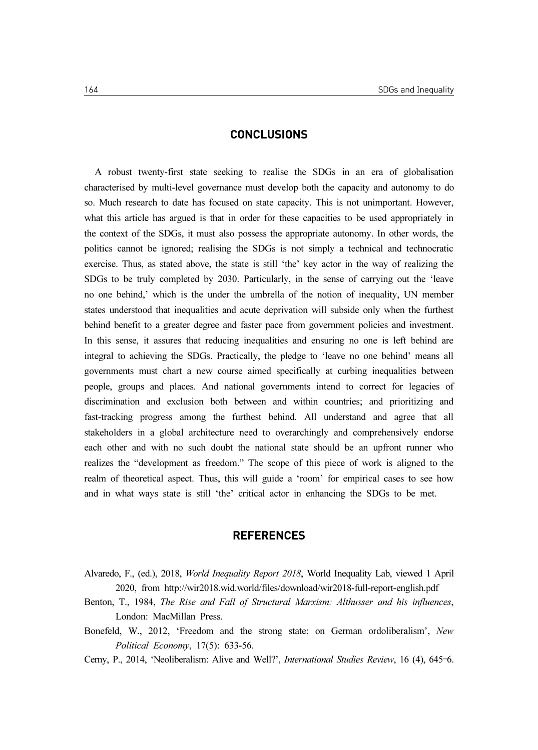#### **CONCLUSIONS**

A robust twenty-first state seeking to realise the SDGs in an era of globalisation characterised by multi-level governance must develop both the capacity and autonomy to do so. Much research to date has focused on state capacity. This is not unimportant. However, what this article has argued is that in order for these capacities to be used appropriately in the context of the SDGs, it must also possess the appropriate autonomy. In other words, the politics cannot be ignored; realising the SDGs is not simply a technical and technocratic exercise. Thus, as stated above, the state is still 'the' key actor in the way of realizing the SDGs to be truly completed by 2030. Particularly, in the sense of carrying out the 'leave no one behind,' which is the under the umbrella of the notion of inequality, UN member states understood that inequalities and acute deprivation will subside only when the furthest behind benefit to a greater degree and faster pace from government policies and investment. In this sense, it assures that reducing inequalities and ensuring no one is left behind are integral to achieving the SDGs. Practically, the pledge to 'leave no one behind' means all governments must chart a new course aimed specifically at curbing inequalities between people, groups and places. And national governments intend to correct for legacies of discrimination and exclusion both between and within countries; and prioritizing and fast-tracking progress among the furthest behind. All understand and agree that all stakeholders in a global architecture need to overarchingly and comprehensively endorse each other and with no such doubt the national state should be an upfront runner who realizes the "development as freedom." The scope of this piece of work is aligned to the realm of theoretical aspect. Thus, this will guide a 'room' for empirical cases to see how and in what ways state is still 'the' critical actor in enhancing the SDGs to be met.

#### **REFERENCES**

- Alvaredo, F., (ed.), 2018, World Inequality Report 2018, World Inequality Lab, viewed 1 April 2020, from http://wir2018.wid.world/files/download/wir2018-full-report-english.pdf
- Benton, T., 1984, The Rise and Fall of Structural Marxism: Althusser and his influences, London: MacMillan Press.
- Bonefeld, W., 2012, 'Freedom and the strong state: on German ordoliberalism', New Political Economy, 17(5): 633-56.
- Cerny, P., 2014, 'Neoliberalism: Alive and Well?', International Studies Review, 16 (4), 645–6.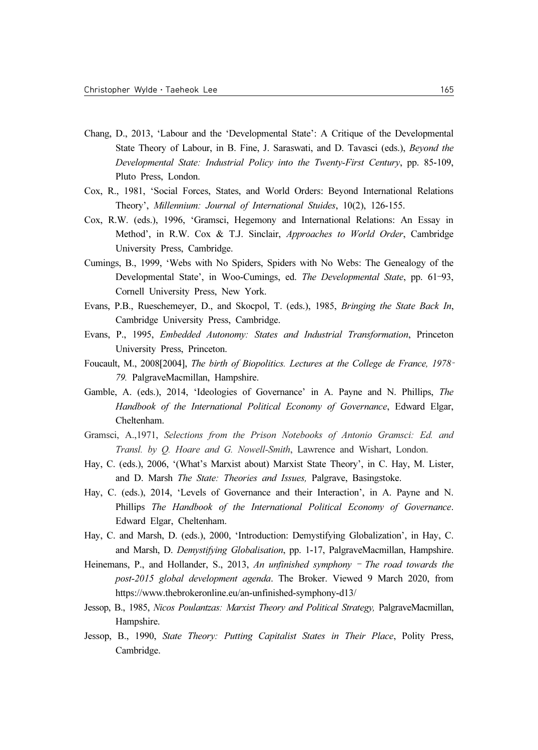- Chang, D., 2013, 'Labour and the 'Developmental State': A Critique of the Developmental State Theory of Labour, in B. Fine, J. Saraswati, and D. Tavasci (eds.), Beyond the Developmental State: Industrial Policy into the Twenty-First Century, pp. 85-109, Pluto Press, London.
- Cox, R., 1981, 'Social Forces, States, and World Orders: Beyond International Relations Theory', Millennium: Journal of International Stuides, 10(2), 126-155.
- Cox, R.W. (eds.), 1996, 'Gramsci, Hegemony and International Relations: An Essay in Method', in R.W. Cox & T.J. Sinclair, Approaches to World Order, Cambridge University Press, Cambridge.
- Cumings, B., 1999, 'Webs with No Spiders, Spiders with No Webs: The Genealogy of the Developmental State', in Woo-Cumings, ed. The Developmental State, pp. 61–93, Cornell University Press, New York.
- Evans, P.B., Rueschemeyer, D., and Skocpol, T. (eds.), 1985, Bringing the State Back In, Cambridge University Press, Cambridge.
- Evans, P., 1995, Embedded Autonomy: States and Industrial Transformation, Princeton University Press, Princeton.
- Foucault, M., 2008[2004], The birth of Biopolitics. Lectures at the College de France, 1978-79. PalgraveMacmillan, Hampshire.
- Gamble, A. (eds.), 2014, 'Ideologies of Governance' in A. Payne and N. Phillips, The Handbook of the International Political Economy of Governance, Edward Elgar, Cheltenham.
- Gramsci, A.,1971, Selections from the Prison Notebooks of Antonio Gramsci: Ed. and Transl. by Q. Hoare and G. Nowell-Smith, Lawrence and Wishart, London.
- Hay, C. (eds.), 2006, '(What's Marxist about) Marxist State Theory', in C. Hay, M. Lister, and D. Marsh The State: Theories and Issues, Palgrave, Basingstoke.
- Hay, C. (eds.), 2014, 'Levels of Governance and their Interaction', in A. Payne and N. Phillips The Handbook of the International Political Economy of Governance. Edward Elgar, Cheltenham.
- Hay, C. and Marsh, D. (eds.), 2000, 'Introduction: Demystifying Globalization', in Hay, C. and Marsh, D. Demystifying Globalisation, pp. 1-17, PalgraveMacmillan, Hampshire.
- Heinemans, P., and Hollander, S., 2013, An unfinished symphony The road towards the post-2015 global development agenda. The Broker. Viewed 9 March 2020, from https://www.thebrokeronline.eu/an-unfinished-symphony-d13/
- Jessop, B., 1985, Nicos Poulantzas: Marxist Theory and Political Strategy, PalgraveMacmillan, Hampshire.
- Jessop, B., 1990, State Theory: Putting Capitalist States in Their Place, Polity Press, Cambridge.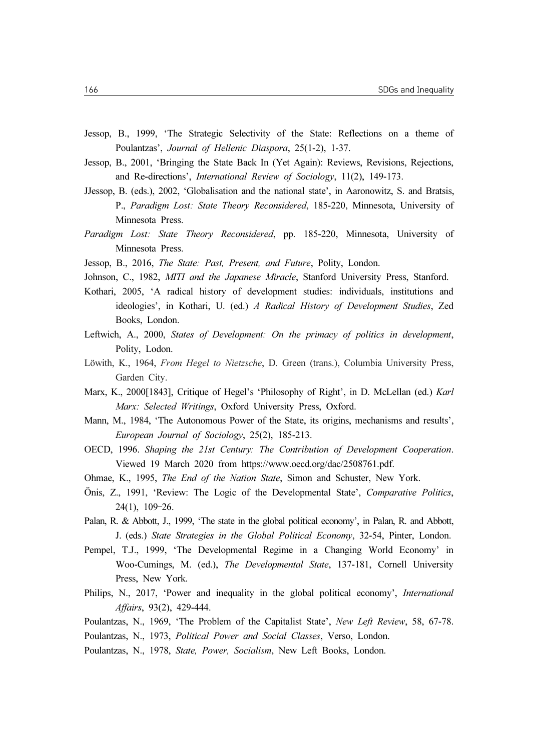- Jessop, B., 1999, 'The Strategic Selectivity of the State: Reflections on a theme of Poulantzas', Journal of Hellenic Diaspora, 25(1-2), 1-37.
- Jessop, B., 2001, 'Bringing the State Back In (Yet Again): Reviews, Revisions, Rejections, and Re-directions', International Review of Sociology, 11(2), 149-173.
- JJessop, B. (eds.), 2002, 'Globalisation and the national state', in Aaronowitz, S. and Bratsis, P., Paradigm Lost: State Theory Reconsidered, 185-220, Minnesota, University of Minnesota Press.
- Paradigm Lost: State Theory Reconsidered, pp. 185-220, Minnesota, University of Minnesota Press.
- Jessop, B., 2016, The State: Past, Present, and Future, Polity, London.
- Johnson, C., 1982, *MITI and the Japanese Miracle*, Stanford University Press, Stanford.
- Kothari, 2005, 'A radical history of development studies: individuals, institutions and ideologies', in Kothari, U. (ed.) A Radical History of Development Studies, Zed Books, London.
- Leftwich, A., 2000, States of Development: On the primacy of politics in development, Polity, Lodon.
- Löwith, K., 1964, From Hegel to Nietzsche, D. Green (trans.), Columbia University Press, Garden City.
- Marx, K., 2000[1843], Critique of Hegel's 'Philosophy of Right', in D. McLellan (ed.) Karl Marx: Selected Writings, Oxford University Press, Oxford.
- Mann, M., 1984, 'The Autonomous Power of the State, its origins, mechanisms and results', European Journal of Sociology, 25(2), 185-213.
- OECD, 1996. Shaping the 21st Century: The Contribution of Development Cooperation. Viewed 19 March 2020 from https://www.oecd.org/dac/2508761.pdf.
- Ohmae, K., 1995, The End of the Nation State, Simon and Schuster, New York.
- Önis, Z., 1991, 'Review: The Logic of the Developmental State', Comparative Politics, 24(1), 109–26.
- Palan, R. & Abbott, J., 1999, 'The state in the global political economy', in Palan, R. and Abbott, J. (eds.) State Strategies in the Global Political Economy, 32-54, Pinter, London.
- Pempel, T.J., 1999, 'The Developmental Regime in a Changing World Economy' in Woo-Cumings, M. (ed.), The Developmental State, 137-181, Cornell University Press, New York.
- Philips, N., 2017, 'Power and inequality in the global political economy', *International* Affairs, 93(2), 429-444.
- Poulantzas, N., 1969, 'The Problem of the Capitalist State', New Left Review, 58, 67-78. Poulantzas, N., 1973, Political Power and Social Classes, Verso, London.
- Poulantzas, N., 1978, State, Power, Socialism, New Left Books, London.